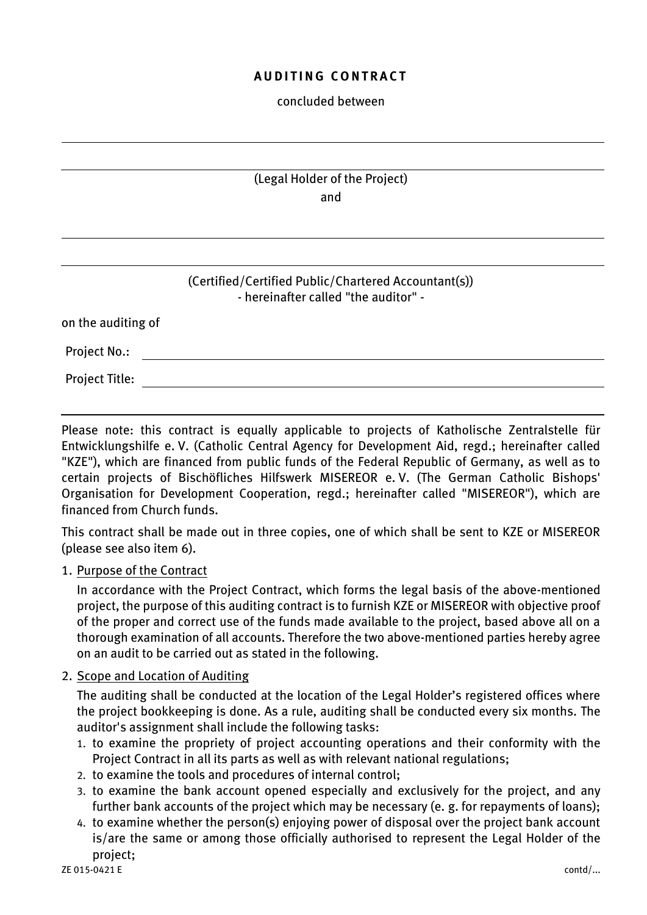## *A U D I T I N G C O N T R A C T*

### *concluded between*

# *(Legal Holder of the Project) and*

## *(Certified/Certified Public/Chartered Accountant(s)) - hereinafter called "the auditor" -*

| on the auditing of    |  |  |  |
|-----------------------|--|--|--|
| <b>Project No.:</b>   |  |  |  |
| <b>Project Title:</b> |  |  |  |

*Please note: this contract is equally applicable to projects of Katholische Zentralstelle für Entwicklungshilfe e. V. (Catholic Central Agency for Development Aid, regd.; hereinafter called "KZE"), which are financed from public funds of the Federal Republic of Germany, as well as to certain projects of Bischöfliches Hilfswerk MISEREOR e. V. (The German Catholic Bishops' Organisation for Development Cooperation, regd.; hereinafter called "MISEREOR"), which are financed from Church funds.* 

*This contract shall be made out in three copies, one of which shall be sent to KZE or MISEREOR (please see also item 6).*

## *1. Purpose of the Contract*

*In accordance with the Project Contract, which forms the legal basis of the above-mentioned project, the purpose of this auditing contract is to furnish KZE or MISEREOR with objective proof of the proper and correct use of the funds made available to the project, based above all on a thorough examination of all accounts. Therefore the two above-mentioned parties hereby agree on an audit to be carried out as stated in the following.*

### *2. Scope and Location of Auditing*

*The auditing shall be conducted at the location of the Legal Holder's registered offices where the project bookkeeping is done. As a rule, auditing shall be conducted every six months. The auditor's assignment shall include the following tasks:*

- *1. to examine the propriety of project accounting operations and their conformity with the Project Contract in all its parts as well as with relevant national regulations;*
- *2. to examine the tools and procedures of internal control;*
- *3. to examine the bank account opened especially and exclusively for the project, and any further bank accounts of the project which may be necessary (e. g. for repayments of loans);*
- *4. to examine whether the person(s) enjoying power of disposal over the project bank account is/are the same or among those officially authorised to represent the Legal Holder of the project;*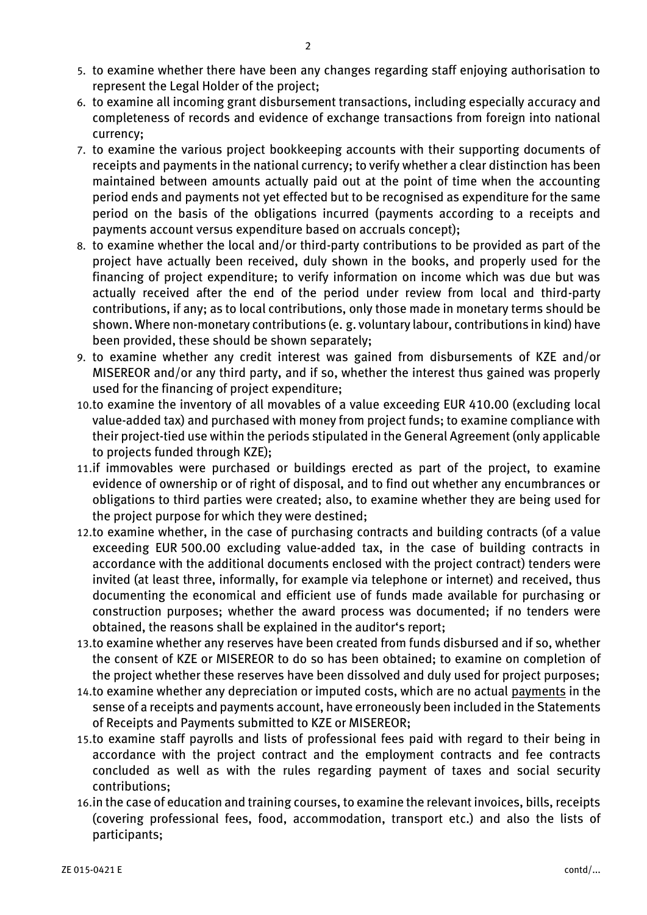- *5. to examine whether there have been any changes regarding staff enjoying authorisation to represent the Legal Holder of the project;*
- *6. to examine all incoming grant disbursement transactions, including especially accuracy and completeness of records and evidence of exchange transactions from foreign into national currency;*
- *7. to examine the various project bookkeeping accounts with their supporting documents of receipts and payments in the national currency; to verify whether a clear distinction has been maintained between amounts actually paid out at the point of time when the accounting period ends and payments not yet effected but to be recognised as expenditure for the same period on the basis of the obligations incurred (payments according to a receipts and payments account versus expenditure based on accruals concept);*
- *8. to examine whether the local and/or third-party contributions to be provided as part of the project have actually been received, duly shown in the books, and properly used for the financing of project expenditure; to verify information on income which was due but was actually received after the end of the period under review from local and third-party contributions, if any; as to local contributions, only those made in monetary terms should be shown. Where non-monetary contributions (e. g. voluntary labour, contributions in kind) have been provided, these should be shown separately;*
- *9. to examine whether any credit interest was gained from disbursements of KZE and/or MISEREOR and/or any third party, and if so, whether the interest thus gained was properly used for the financing of project expenditure;*
- *10.to examine the inventory of all movables of a value exceeding EUR 410.00 (excluding local value-added tax) and purchased with money from project funds; to examine compliance with their project-tied use within the periods stipulated in the General Agreement (only applicable to projects funded through KZE);*
- *11.if immovables were purchased or buildings erected as part of the project, to examine evidence of ownership or of right of disposal, and to find out whether any encumbrances or obligations to third parties were created; also, to examine whether they are being used for the project purpose for which they were destined;*
- *12.to examine whether, in the case of purchasing contracts and building contracts (of a value exceeding EUR 500.00 excluding value-added tax, in the case of building contracts in accordance with the additional documents enclosed with the project contract) tenders were invited (at least three, informally, for example via telephone or internet) and received, thus documenting the economical and efficient use of funds made available for purchasing or construction purposes; whether the award process was documented; if no tenders were obtained, the reasons shall be explained in the auditor's report;*
- *13.to examine whether any reserves have been created from funds disbursed and if so, whether the consent of KZE or MISEREOR to do so has been obtained; to examine on completion of the project whether these reserves have been dissolved and duly used for project purposes;*
- *14.to examine whether any depreciation or imputed costs, which are no actual payments in the sense of a receipts and payments account, have erroneously been included in the Statements of Receipts and Payments submitted to KZE or MISEREOR;*
- *15.to examine staff payrolls and lists of professional fees paid with regard to their being in accordance with the project contract and the employment contracts and fee contracts concluded as well as with the rules regarding payment of taxes and social security contributions;*
- *16.in the case of education and training courses, to examine the relevant invoices, bills, receipts (covering professional fees, food, accommodation, transport etc.) and also the lists of participants;*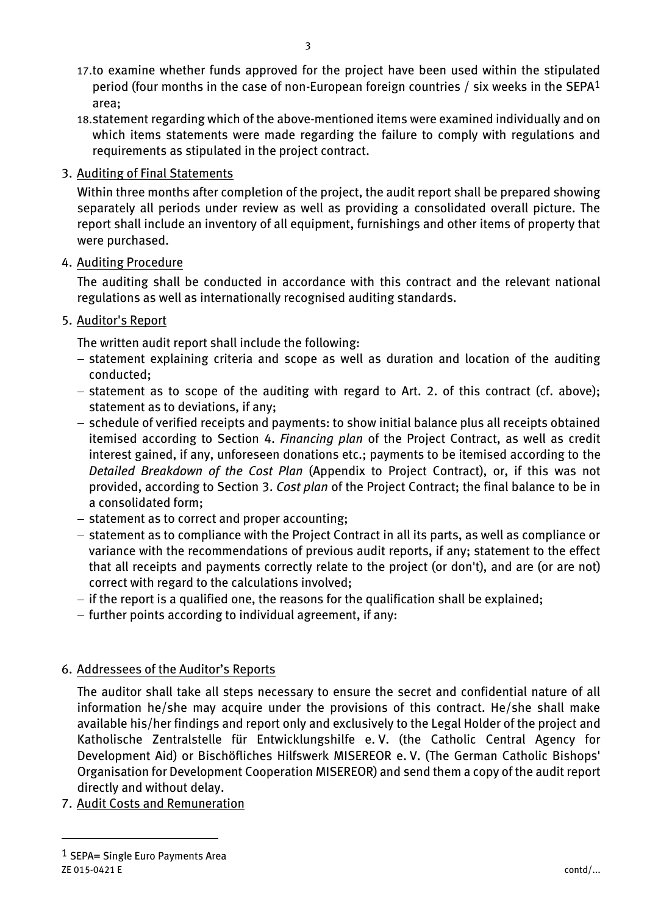- *17.to examine whether funds approved for the project have been used within the stipulated period (four months in the case of non-European foreign countries / six weeks in the SEPA1 area;*
- *18.statement regarding which of the above-mentioned items were examined individually and on which items statements were made regarding the failure to comply with regulations and requirements as stipulated in the project contract.*

## *3. Auditing of Final Statements*

*Within three months after completion of the project, the audit report shall be prepared showing separately all periods under review as well as providing a consolidated overall picture. The report shall include an inventory of all equipment, furnishings and other items of property that were purchased.* 

*4. Auditing Procedure*

*The auditing shall be conducted in accordance with this contract and the relevant national regulations as well as internationally recognised auditing standards.* 

*5. Auditor's Report*

*The written audit report shall include the following:*

- − *statement explaining criteria and scope as well as duration and location of the auditing conducted;*
- − *statement as to scope of the auditing with regard to Art. 2. of this contract (cf. above); statement as to deviations, if any;*
- − *schedule of verified receipts and payments: to show initial balance plus all receipts obtained itemised according to Section 4. Financing plan of the Project Contract, as well as credit interest gained, if any, unforeseen donations etc.; payments to be itemised according to the Detailed Breakdown of the Cost Plan (Appendix to Project Contract), or, if this was not provided, according to Section 3. Cost plan of the Project Contract; the final balance to be in a consolidated form;*
- − *statement as to correct and proper accounting;*
- − *statement as to compliance with the Project Contract in all its parts, as well as compliance or variance with the recommendations of previous audit reports, if any; statement to the effect that all receipts and payments correctly relate to the project (or don't), and are (or are not) correct with regard to the calculations involved;*
- − *if the report is a qualified one, the reasons for the qualification shall be explained;*
- − *further points according to individual agreement, if any:*

# *6. Addressees of the Auditor's Reports*

*The auditor shall take all steps necessary to ensure the secret and confidential nature of all information he/she may acquire under the provisions of this contract. He/she shall make available his/her findings and report only and exclusively to the Legal Holder of the project and Katholische Zentralstelle für Entwicklungshilfe e. V. (the Catholic Central Agency for Development Aid) or Bischöfliches Hilfswerk MISEREOR e. V. (The German Catholic Bishops' Organisation for Development Cooperation MISEREOR) and send them a copy of the audit report directly and without delay.* 

*7. Audit Costs and Remuneration*